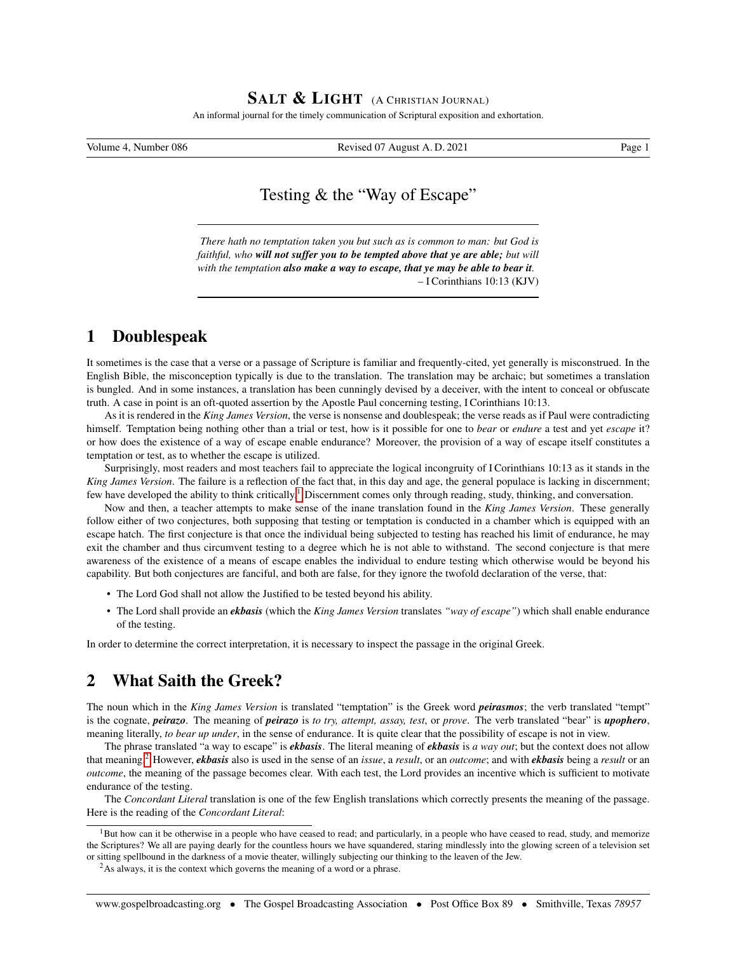#### SALT & LIGHT (A CHRISTIAN JOURNAL)

An informal journal for the timely communication of Scriptural exposition and exhortation.

Volume 4, Number 086 **Revised 07 August A. D. 2021** Page 1

# Testing & the "Way of Escape"

*There hath no temptation taken you but such as is common to man: but God is faithful, who will not suffer you to be tempted above that ye are able; but will with the temptation also make a way to escape, that ye may be able to bear it.* – I Corinthians 10:13 (KJV)

### 1 Doublespeak

It sometimes is the case that a verse or a passage of Scripture is familiar and frequently-cited, yet generally is misconstrued. In the English Bible, the misconception typically is due to the translation. The translation may be archaic; but sometimes a translation is bungled. And in some instances, a translation has been cunningly devised by a deceiver, with the intent to conceal or obfuscate truth. A case in point is an oft-quoted assertion by the Apostle Paul concerning testing, I Corinthians 10:13.

As it is rendered in the *King James Version*, the verse is nonsense and doublespeak; the verse reads as if Paul were contradicting himself. Temptation being nothing other than a trial or test, how is it possible for one to *bear* or *endure* a test and yet *escape* it? or how does the existence of a way of escape enable endurance? Moreover, the provision of a way of escape itself constitutes a temptation or test, as to whether the escape is utilized.

Surprisingly, most readers and most teachers fail to appreciate the logical incongruity of I Corinthians 10:13 as it stands in the *King James Version*. The failure is a reflection of the fact that, in this day and age, the general populace is lacking in discernment; few have developed the ability to think critically.<sup>[1](#page-0-0)</sup> Discernment comes only through reading, study, thinking, and conversation.

Now and then, a teacher attempts to make sense of the inane translation found in the *King James Version*. These generally follow either of two conjectures, both supposing that testing or temptation is conducted in a chamber which is equipped with an escape hatch. The first conjecture is that once the individual being subjected to testing has reached his limit of endurance, he may exit the chamber and thus circumvent testing to a degree which he is not able to withstand. The second conjecture is that mere awareness of the existence of a means of escape enables the individual to endure testing which otherwise would be beyond his capability. But both conjectures are fanciful, and both are false, for they ignore the twofold declaration of the verse, that:

- The Lord God shall not allow the Justified to be tested beyond his ability.
- The Lord shall provide an *ekbasis* (which the *King James Version* translates *"way of escape"*) which shall enable endurance of the testing.

In order to determine the correct interpretation, it is necessary to inspect the passage in the original Greek.

## 2 What Saith the Greek?

The noun which in the *King James Version* is translated "temptation" is the Greek word *peirasmos*; the verb translated "tempt" is the cognate, *peirazo*. The meaning of *peirazo* is *to try, attempt, assay, test*, or *prove*. The verb translated "bear" is *upophero*, meaning literally, *to bear up under*, in the sense of endurance. It is quite clear that the possibility of escape is not in view.

The phrase translated "a way to escape" is *ekbasis*. The literal meaning of *ekbasis* is *a way out*; but the context does not allow that meaning.[2](#page-0-1) However, *ekbasis* also is used in the sense of an *issue*, a *result*, or an *outcome*; and with *ekbasis* being a *result* or an *outcome*, the meaning of the passage becomes clear. With each test, the Lord provides an incentive which is sufficient to motivate endurance of the testing.

The *Concordant Literal* translation is one of the few English translations which correctly presents the meaning of the passage. Here is the reading of the *Concordant Literal*:

<span id="page-0-0"></span><sup>&</sup>lt;sup>1</sup>But how can it be otherwise in a people who have ceased to read; and particularly, in a people who have ceased to read, study, and memorize the Scriptures? We all are paying dearly for the countless hours we have squandered, staring mindlessly into the glowing screen of a television set or sitting spellbound in the darkness of a movie theater, willingly subjecting our thinking to the leaven of the Jew.

<span id="page-0-1"></span><sup>&</sup>lt;sup>2</sup>As always, it is the context which governs the meaning of a word or a phrase.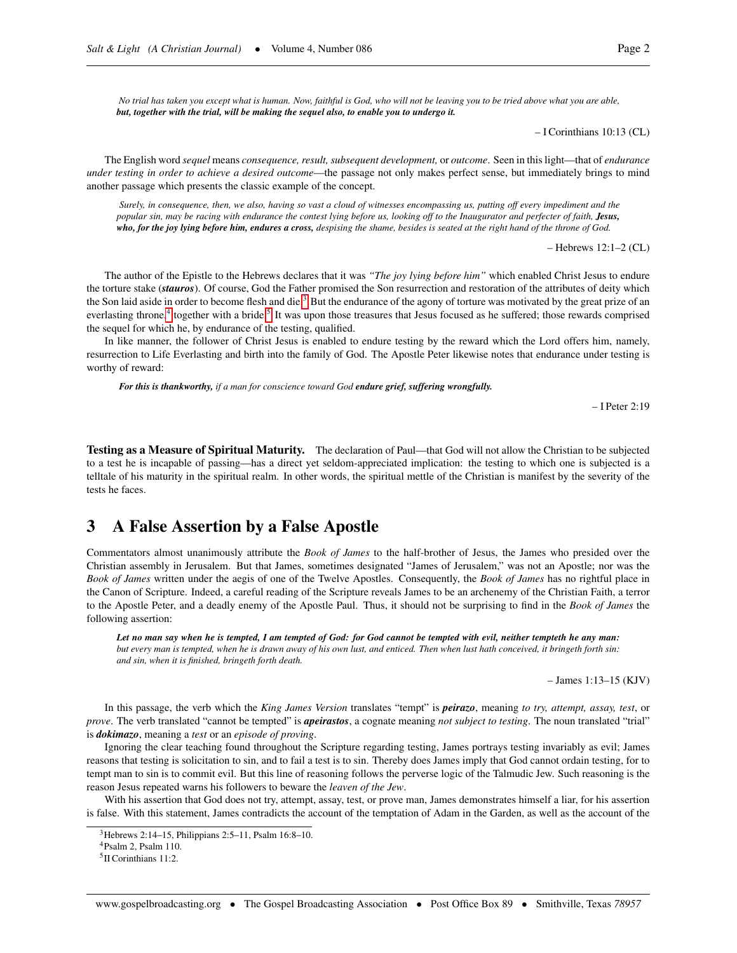*No trial has taken you except what is human. Now, faithful is God, who will not be leaving you to be tried above what you are able, but, together with the trial, will be making the sequel also, to enable you to undergo it.*

– I Corinthians 10:13 (CL)

The English word *sequel* means *consequence, result, subsequent development,* or *outcome*. Seen in this light—that of *endurance under testing in order to achieve a desired outcome*—the passage not only makes perfect sense, but immediately brings to mind another passage which presents the classic example of the concept.

*Surely, in consequence, then, we also, having so vast a cloud of witnesses encompassing us, putting off every impediment and the popular sin, may be racing with endurance the contest lying before us, looking off to the Inaugurator and perfecter of faith, Jesus, who, for the joy lying before him, endures a cross, despising the shame, besides is seated at the right hand of the throne of God.*

– Hebrews 12:1–2 (CL)

The author of the Epistle to the Hebrews declares that it was *"The joy lying before him"* which enabled Christ Jesus to endure the torture stake (*stauros*). Of course, God the Father promised the Son resurrection and restoration of the attributes of deity which the Son laid aside in order to become flesh and die.<sup>[3](#page-1-0)</sup> But the endurance of the agony of torture was motivated by the great prize of an everlasting throne,<sup>[4](#page-1-1)</sup> together with a bride.<sup>[5](#page-1-2)</sup> It was upon those treasures that Jesus focused as he suffered; those rewards comprised the sequel for which he, by endurance of the testing, qualified.

In like manner, the follower of Christ Jesus is enabled to endure testing by the reward which the Lord offers him, namely, resurrection to Life Everlasting and birth into the family of God. The Apostle Peter likewise notes that endurance under testing is worthy of reward:

*For this is thankworthy, if a man for conscience toward God endure grief, suffering wrongfully.*

– I Peter 2:19

Testing as a Measure of Spiritual Maturity. The declaration of Paul—that God will not allow the Christian to be subjected to a test he is incapable of passing—has a direct yet seldom-appreciated implication: the testing to which one is subjected is a telltale of his maturity in the spiritual realm. In other words, the spiritual mettle of the Christian is manifest by the severity of the tests he faces.

#### 3 A False Assertion by a False Apostle

Commentators almost unanimously attribute the *Book of James* to the half-brother of Jesus, the James who presided over the Christian assembly in Jerusalem. But that James, sometimes designated "James of Jerusalem," was not an Apostle; nor was the *Book of James* written under the aegis of one of the Twelve Apostles. Consequently, the *Book of James* has no rightful place in the Canon of Scripture. Indeed, a careful reading of the Scripture reveals James to be an archenemy of the Christian Faith, a terror to the Apostle Peter, and a deadly enemy of the Apostle Paul. Thus, it should not be surprising to find in the *Book of James* the following assertion:

*Let no man say when he is tempted, I am tempted of God: for God cannot be tempted with evil, neither tempteth he any man: but every man is tempted, when he is drawn away of his own lust, and enticed. Then when lust hath conceived, it bringeth forth sin: and sin, when it is finished, bringeth forth death.*

– James 1:13–15 (KJV)

In this passage, the verb which the *King James Version* translates "tempt" is *peirazo*, meaning *to try, attempt, assay, test*, or *prove*. The verb translated "cannot be tempted" is *apeirastos*, a cognate meaning *not subject to testing*. The noun translated "trial" is *dokimazo*, meaning a *test* or an *episode of proving*.

Ignoring the clear teaching found throughout the Scripture regarding testing, James portrays testing invariably as evil; James reasons that testing is solicitation to sin, and to fail a test is to sin. Thereby does James imply that God cannot ordain testing, for to tempt man to sin is to commit evil. But this line of reasoning follows the perverse logic of the Talmudic Jew. Such reasoning is the reason Jesus repeated warns his followers to beware the *leaven of the Jew*.

With his assertion that God does not try, attempt, assay, test, or prove man, James demonstrates himself a liar, for his assertion is false. With this statement, James contradicts the account of the temptation of Adam in the Garden, as well as the account of the

<span id="page-1-0"></span> $3$ Hebrews 2:14–15, Philippians 2:5–11, Psalm 16:8–10.

<span id="page-1-1"></span><sup>4</sup>Psalm 2, Psalm 110.

<span id="page-1-2"></span><sup>5</sup> II Corinthians 11:2.